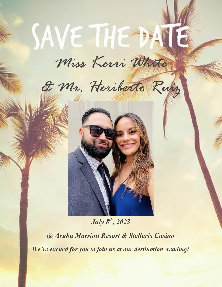# *Miss Kerri White*

SAVE THE DAY

*& Mr. Heriberto Ruiz*



*July 8th, 2023* 

*@ Aruba Marriott Resort & Stellaris Casino We're excited for you to join us at our destination wedding!*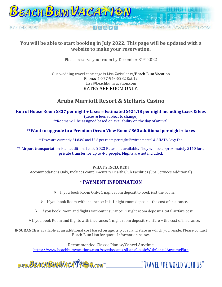

## **You will be able to start booking in July 2022. This page will be updated with a website to make your reservation.**

Please reserve your room by December 31st, 2022

\_\_\_\_\_\_\_\_\_\_\_\_\_\_\_\_\_\_\_\_\_\_\_\_\_\_\_\_\_\_\_\_\_\_\_\_\_\_\_\_\_\_\_\_\_\_\_\_\_\_\_\_\_\_\_\_\_\_\_\_\_\_\_\_\_\_\_\_\_\_\_\_\_\_\_\_\_\_\_\_\_\_\_\_\_\_\_\_\_\_\_\_\_\_\_\_\_\_\_\_\_\_\_\_\_\_\_\_\_\_\_\_\_\_\_\_\_\_\_\_\_\_\_\_\_\_ Our wedding travel concierge is Lisa Zwissler w/Beach Bum Vacation Phone: 1-877-943-8282 Ext 12 Lisa@beachbumvacation.com RATES ARE ROOM ONLY.

# **Aruba Marriott Resort & Stellaris Casino**

#### **Run of House Room \$337 per night + taxes = Estimated \$424.18 per night including taxes & fees** (taxes & fees subject to change) \*\*Rooms will be assigned based on availability on the day of arrival.

#### **\*\*Want to upgrade to a Premium Ocean View Room? \$60 additional per night + taxes**

\*\*Taxes are currently 24.83% and \$3.5 per room per night Environmental & AHATA Levy Fee.

\*\* Airport transportation is an additional cost. 2023 Rates not available. They will be approximately \$140 for a private transfer for up to 4-5 people. Flights are not included.

#### **WHAT'S INCLUDED?**

Accommodations Only, Includes complimentary Health Club Facilities (Spa Services Additional)

### \* **PAYMENT INFORMATION**

- ➢ If you book Room Only: 1 night room deposit to book just the room.
- $\triangleright$  If you book Room with insurance: It is 1 night room deposit + the cost of insurance.
- ➢ If you book Room and flights without insurance: 1 night room deposit + total airfare cost.
- ➢If you book Room and flights with insurance: 1 night room deposit + airfare + the cost of insurance.

**INSURANCE** is available at an additional cost based on age, trip cost, and state in which you reside. Please contact Beach Bum Lisa for quote. Information below.

Recommended Classic Plan w/Cancel Anytime <https://www.beachbumvacations.com/savethedate/AllianzClassicWithCancelAnytimePlan>

www.BEACHBUMVACATTEN.com

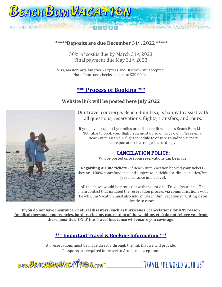

#### **\*\*\*\*\*Deposits are due December 31st, 2022 \*\*\*\*\***

50% of cost is due by March 31st, 2023 Final payment due May 31st, 2023

Visa, MasterCard, American Express and Discover are accepted. Note: Returned checks subject to \$30.00 fee.

# **\*\*\* Process of Booking** \*\*\*

#### **Website link will be posted here July 2022**



Our travel concierge, Beach Bum Lisa, is happy to assist with all questions, reservations, flights, transfers, and tours.

If you have frequent flyer miles or airline credit vouchers Beach Bum Lisa is NOT able to book your flight. You must do so on your own. Please email Beach Bum Lisa your flight schedule to ensure roundtrip airport transportation is arranged accordingly.

#### **CANCELATION POLICY:**

Will be posted once room reservations can be made.

**Regarding Airline tickets** – if Beach Bum Vacation booked your tickets they are 100% nonrefundable and subject to individual airline penalties/fees (see insurance info above).

All the above would be protected with the optional Travel Insurance. The main contact that initiated the reservation process via communications with Beach Bum Vacation must also inform Beach Bum Vacation in writing if you decide to cancel.

**If you do not have insurance – natural disasters (such as hurricanes), cancelations for ANY reason (medical/personal emergencies, borders closing, cancelation of the wedding, etc.) do not relieve you from these penalties. ONLY the Travel Insurance will ensure you coverage.**

## **\*\*\* Important Travel & Booking Information \*\*\***

All reservations must be made directly through the link that we will provide. Passports are required for travel to Aruba, no exceptions.

WWW.BEACHBUMVACATTE M.com